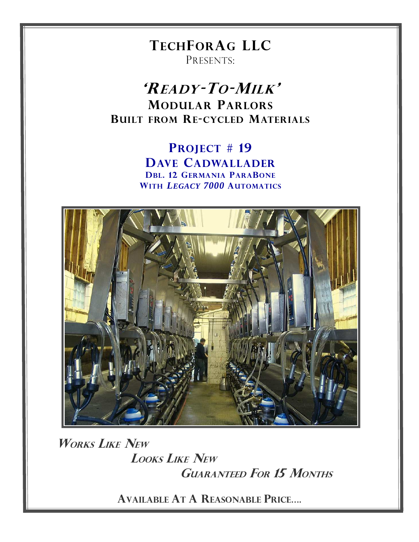**TECHFORAG LLC** PRESENTS:

'READY-TO-MILK' **MODULAR PARLORS BUILT FROM RE-CYCLED MATERIALS** 

> **PROJECT #19 DAVE CADWALLADER DBL. 12 GERMANIA PARABONE** WITH LEGACY 7000 AUTOMATICS



**WORKS LIKE NEW LOOKS LIKE NEW GUARANTEED FOR 15 MONTHS** 

**AVAILABLE AT A REASONABLE PRICE....**